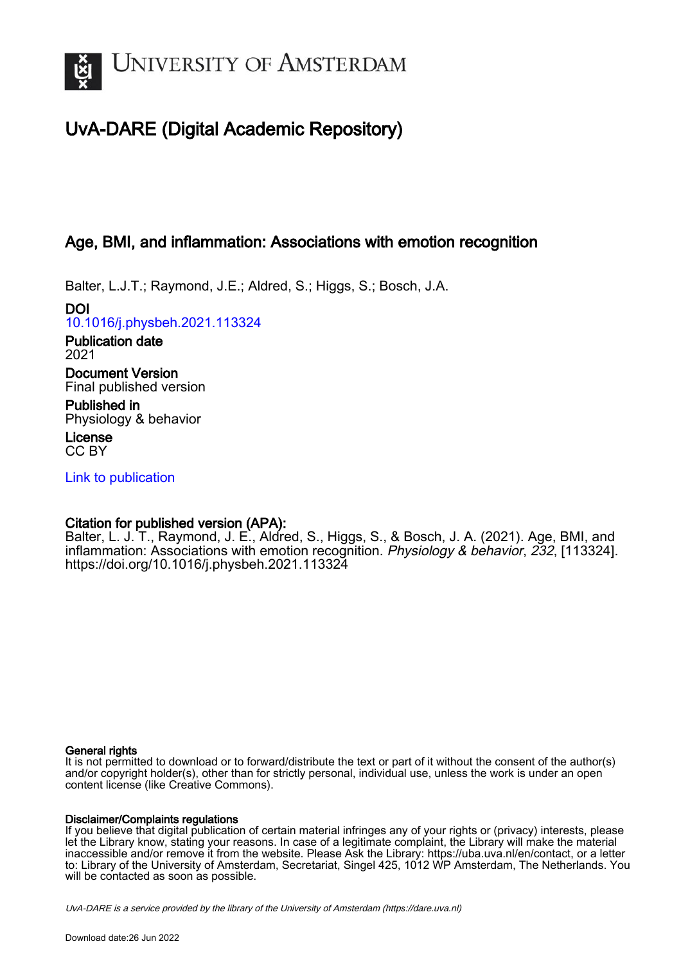

# UvA-DARE (Digital Academic Repository)

# Age, BMI, and inflammation: Associations with emotion recognition

Balter, L.J.T.; Raymond, J.E.; Aldred, S.; Higgs, S.; Bosch, J.A.

DOI [10.1016/j.physbeh.2021.113324](https://doi.org/10.1016/j.physbeh.2021.113324)

Publication date 2021

Document Version Final published version

Published in Physiology & behavior

License CC BY

[Link to publication](https://dare.uva.nl/personal/pure/en/publications/age-bmi-and-inflammation-associations-with-emotion-recognition(45932c42-b71f-47f2-8af8-e9d58a85765d).html)

## Citation for published version (APA):

Balter, L. J. T., Raymond, J. E., Aldred, S., Higgs, S., & Bosch, J. A. (2021). Age, BMI, and inflammation: Associations with emotion recognition. Physiology & behavior, 232, [113324]. <https://doi.org/10.1016/j.physbeh.2021.113324>

## General rights

It is not permitted to download or to forward/distribute the text or part of it without the consent of the author(s) and/or copyright holder(s), other than for strictly personal, individual use, unless the work is under an open content license (like Creative Commons).

## Disclaimer/Complaints regulations

If you believe that digital publication of certain material infringes any of your rights or (privacy) interests, please let the Library know, stating your reasons. In case of a legitimate complaint, the Library will make the material inaccessible and/or remove it from the website. Please Ask the Library: https://uba.uva.nl/en/contact, or a letter to: Library of the University of Amsterdam, Secretariat, Singel 425, 1012 WP Amsterdam, The Netherlands. You will be contacted as soon as possible.

UvA-DARE is a service provided by the library of the University of Amsterdam (http*s*://dare.uva.nl)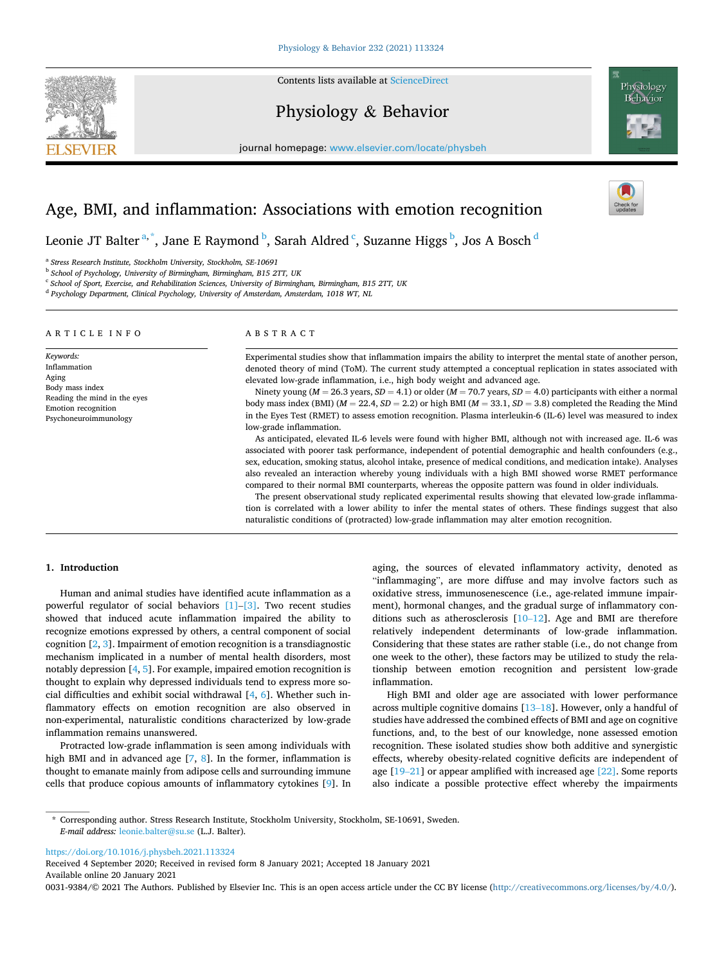Contents lists available at [ScienceDirect](www.sciencedirect.com/science/journal/00319384)

# Physiology & Behavior

journal homepage: [www.elsevier.com/locate/physbeh](https://www.elsevier.com/locate/physbeh)



## Age, BMI, and inflammation: Associations with emotion recognition

Leonie JT Balter $^{\rm a, *},$  Jane E Raymond  $^{\rm b}$ , Sarah Aldred  $^{\rm c}$ , Suzanne Higgs  $^{\rm b}$ , Jos A Bosch  $^{\rm d}$ 

<sup>a</sup> *Stress Research Institute, Stockholm University, Stockholm, SE-10691* 

<sup>b</sup> *School of Psychology, University of Birmingham, Birmingham, B15 2TT, UK* 

<sup>c</sup> *School of Sport, Exercise, and Rehabilitation Sciences, University of Birmingham, Birmingham, B15 2TT, UK* 

<sup>d</sup> *Psychology Department, Clinical Psychology, University of Amsterdam, Amsterdam, 1018 WT, NL* 

ARTICLE INFO

*Keywords:*  Inflammation Aging Body mass index Reading the mind in the eyes Emotion recognition Psychoneuroimmunology

#### ABSTRACT

Experimental studies show that inflammation impairs the ability to interpret the mental state of another person, denoted theory of mind (ToM). The current study attempted a conceptual replication in states associated with elevated low-grade inflammation, i.e., high body weight and advanced age.

Ninety young ( $M = 26.3$  years,  $SD = 4.1$ ) or older ( $M = 70.7$  years,  $SD = 4.0$ ) participants with either a normal body mass index (BMI) ( $M = 22.4$ ,  $SD = 2.2$ ) or high BMI ( $M = 33.1$ ,  $SD = 3.8$ ) completed the Reading the Mind in the Eyes Test (RMET) to assess emotion recognition. Plasma interleukin-6 (IL-6) level was measured to index low-grade inflammation.

As anticipated, elevated IL-6 levels were found with higher BMI, although not with increased age. IL-6 was associated with poorer task performance, independent of potential demographic and health confounders (e.g., sex, education, smoking status, alcohol intake, presence of medical conditions, and medication intake). Analyses also revealed an interaction whereby young individuals with a high BMI showed worse RMET performance compared to their normal BMI counterparts, whereas the opposite pattern was found in older individuals.

The present observational study replicated experimental results showing that elevated low-grade inflammation is correlated with a lower ability to infer the mental states of others. These findings suggest that also naturalistic conditions of (protracted) low-grade inflammation may alter emotion recognition.

#### **1. Introduction**

Human and animal studies have identified acute inflammation as a powerful regulator of social behaviors [\[1\]](#page-5-0)–[\[3\]](#page-5-0). Two recent studies showed that induced acute inflammation impaired the ability to recognize emotions expressed by others, a central component of social cognition [\[2, 3](#page-5-0)]. Impairment of emotion recognition is a transdiagnostic mechanism implicated in a number of mental health disorders, most notably depression [[4](#page-5-0), [5\]](#page-5-0). For example, impaired emotion recognition is thought to explain why depressed individuals tend to express more social difficulties and exhibit social withdrawal [\[4,](#page-5-0) [6](#page-5-0)]. Whether such inflammatory effects on emotion recognition are also observed in non-experimental, naturalistic conditions characterized by low-grade inflammation remains unanswered.

Protracted low-grade inflammation is seen among individuals with high BMI and in advanced age [[7](#page-5-0), [8\]](#page-5-0). In the former, inflammation is thought to emanate mainly from adipose cells and surrounding immune cells that produce copious amounts of inflammatory cytokines [\[9\]](#page-5-0). In aging, the sources of elevated inflammatory activity, denoted as "inflammaging", are more diffuse and may involve factors such as oxidative stress, immunosenescence (i.e., age-related immune impairment), hormonal changes, and the gradual surge of inflammatory conditions such as atherosclerosis [10–[12\]](#page-5-0). Age and BMI are therefore relatively independent determinants of low-grade inflammation. Considering that these states are rather stable (i.e., do not change from one week to the other), these factors may be utilized to study the relationship between emotion recognition and persistent low-grade inflammation.

High BMI and older age are associated with lower performance across multiple cognitive domains [13–[18\]](#page-5-0). However, only a handful of studies have addressed the combined effects of BMI and age on cognitive functions, and, to the best of our knowledge, none assessed emotion recognition. These isolated studies show both additive and synergistic effects, whereby obesity-related cognitive deficits are independent of age [\[19](#page-5-0)–21] or appear amplified with increased age [\[22\]](#page-6-0). Some reports also indicate a possible protective effect whereby the impairments

<https://doi.org/10.1016/j.physbeh.2021.113324>

Available online 20 January 2021 Received 4 September 2020; Received in revised form 8 January 2021; Accepted 18 January 2021

0031-9384/©2021 The Authors. Published by Elsevier Inc. This is an open access article under the CC BY license (<http://creativecommons.org/licenses/by/4.0/>).



<sup>\*</sup> Corresponding author. Stress Research Institute, Stockholm University, Stockholm, SE-10691, Sweden. *E-mail address:* [leonie.balter@su.se](mailto:leonie.balter@su.se) (L.J. Balter).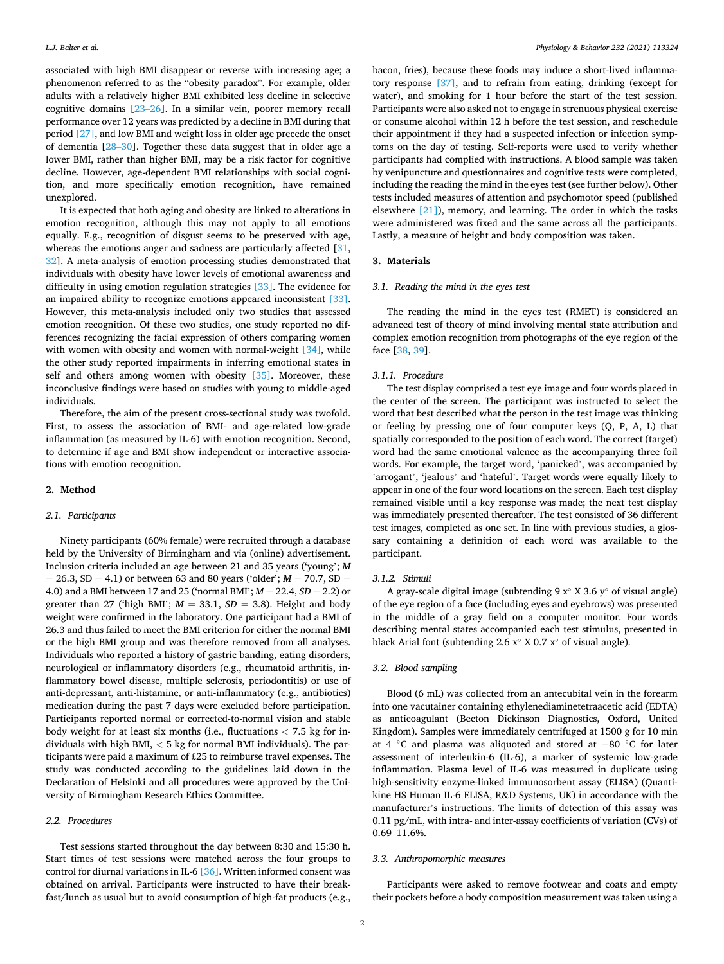associated with high BMI disappear or reverse with increasing age; a phenomenon referred to as the "obesity paradox". For example, older adults with a relatively higher BMI exhibited less decline in selective cognitive domains [[23](#page-6-0)–26]. In a similar vein, poorer memory recall performance over 12 years was predicted by a decline in BMI during that period [\[27\],](#page-6-0) and low BMI and weight loss in older age precede the onset of dementia [28–[30\]](#page-6-0). Together these data suggest that in older age a lower BMI, rather than higher BMI, may be a risk factor for cognitive decline. However, age-dependent BMI relationships with social cognition, and more specifically emotion recognition, have remained unexplored.

It is expected that both aging and obesity are linked to alterations in emotion recognition, although this may not apply to all emotions equally. E.g., recognition of disgust seems to be preserved with age, whereas the emotions anger and sadness are particularly affected [\[31](#page-6-0), [32\]](#page-6-0). A meta-analysis of emotion processing studies demonstrated that individuals with obesity have lower levels of emotional awareness and difficulty in using emotion regulation strategies [\[33\].](#page-6-0) The evidence for an impaired ability to recognize emotions appeared inconsistent [\[33\]](#page-6-0). However, this meta-analysis included only two studies that assessed emotion recognition. Of these two studies, one study reported no differences recognizing the facial expression of others comparing women with women with obesity and women with normal-weight [\[34\]](#page-6-0), while the other study reported impairments in inferring emotional states in self and others among women with obesity [\[35\].](#page-6-0) Moreover, these inconclusive findings were based on studies with young to middle-aged individuals.

Therefore, the aim of the present cross-sectional study was twofold. First, to assess the association of BMI- and age-related low-grade inflammation (as measured by IL-6) with emotion recognition. Second, to determine if age and BMI show independent or interactive associations with emotion recognition.

#### **2. Method**

#### *2.1. Participants*

Ninety participants (60% female) were recruited through a database held by the University of Birmingham and via (online) advertisement. Inclusion criteria included an age between 21 and 35 years ('young'; *M*   $= 26.3, SD = 4.1$ ) or between 63 and 80 years ('older';  $M = 70.7$ ,  $SD = 1$ 4.0) and a BMI between 17 and 25 ('normal BMI'; *M* = 22.4, *SD* = 2.2) or greater than 27 ('high BMI';  $M = 33.1$ ,  $SD = 3.8$ ). Height and body weight were confirmed in the laboratory. One participant had a BMI of 26.3 and thus failed to meet the BMI criterion for either the normal BMI or the high BMI group and was therefore removed from all analyses. Individuals who reported a history of gastric banding, eating disorders, neurological or inflammatory disorders (e.g., rheumatoid arthritis, inflammatory bowel disease, multiple sclerosis, periodontitis) or use of anti-depressant, anti-histamine, or anti-inflammatory (e.g., antibiotics) medication during the past 7 days were excluded before participation. Participants reported normal or corrected-to-normal vision and stable body weight for at least six months (i.e., fluctuations *<* 7.5 kg for individuals with high BMI, *<* 5 kg for normal BMI individuals). The participants were paid a maximum of £25 to reimburse travel expenses. The study was conducted according to the guidelines laid down in the Declaration of Helsinki and all procedures were approved by the University of Birmingham Research Ethics Committee.

#### *2.2. Procedures*

Test sessions started throughout the day between 8:30 and 15:30 h. Start times of test sessions were matched across the four groups to control for diurnal variations in IL-6 [\[36\]](#page-6-0). Written informed consent was obtained on arrival. Participants were instructed to have their breakfast/lunch as usual but to avoid consumption of high-fat products (e.g.,

bacon, fries), because these foods may induce a short-lived inflammatory response [\[37\],](#page-6-0) and to refrain from eating, drinking (except for water), and smoking for 1 hour before the start of the test session. Participants were also asked not to engage in strenuous physical exercise or consume alcohol within 12 h before the test session, and reschedule their appointment if they had a suspected infection or infection symptoms on the day of testing. Self-reports were used to verify whether participants had complied with instructions. A blood sample was taken by venipuncture and questionnaires and cognitive tests were completed, including the reading the mind in the eyes test (see further below). Other tests included measures of attention and psychomotor speed (published elsewhere [\[21\]](#page-6-0)), memory, and learning. The order in which the tasks were administered was fixed and the same across all the participants. Lastly, a measure of height and body composition was taken.

#### **3. Materials**

### *3.1. Reading the mind in the eyes test*

The reading the mind in the eyes test (RMET) is considered an advanced test of theory of mind involving mental state attribution and complex emotion recognition from photographs of the eye region of the face [[38, 39](#page-6-0)].

#### *3.1.1. Procedure*

The test display comprised a test eye image and four words placed in the center of the screen. The participant was instructed to select the word that best described what the person in the test image was thinking or feeling by pressing one of four computer keys (Q, P, A, L) that spatially corresponded to the position of each word. The correct (target) word had the same emotional valence as the accompanying three foil words. For example, the target word, 'panicked', was accompanied by 'arrogant', 'jealous' and 'hateful'. Target words were equally likely to appear in one of the four word locations on the screen. Each test display remained visible until a key response was made; the next test display was immediately presented thereafter. The test consisted of 36 different test images, completed as one set. In line with previous studies, a glossary containing a definition of each word was available to the participant.

#### *3.1.2. Stimuli*

A gray-scale digital image (subtending 9  $x^\circ$  X 3.6  $y^\circ$  of visual angle) of the eye region of a face (including eyes and eyebrows) was presented in the middle of a gray field on a computer monitor. Four words describing mental states accompanied each test stimulus, presented in black Arial font (subtending 2.6 x◦ X 0.7 x◦ of visual angle).

#### *3.2. Blood sampling*

Blood (6 mL) was collected from an antecubital vein in the forearm into one vacutainer containing ethylenediaminetetraacetic acid (EDTA) as anticoagulant (Becton Dickinson Diagnostics, Oxford, United Kingdom). Samples were immediately centrifuged at 1500 g for 10 min at 4 ◦C and plasma was aliquoted and stored at − 80 ◦C for later assessment of interleukin-6 (IL-6), a marker of systemic low-grade inflammation. Plasma level of IL-6 was measured in duplicate using high-sensitivity enzyme-linked immunosorbent assay (ELISA) (Quantikine HS Human IL-6 ELISA, R&D Systems, UK) in accordance with the manufacturer's instructions. The limits of detection of this assay was 0.11 pg/mL, with intra- and inter-assay coefficients of variation (CVs) of 0.69–11.6%.

#### *3.3. Anthropomorphic measures*

Participants were asked to remove footwear and coats and empty their pockets before a body composition measurement was taken using a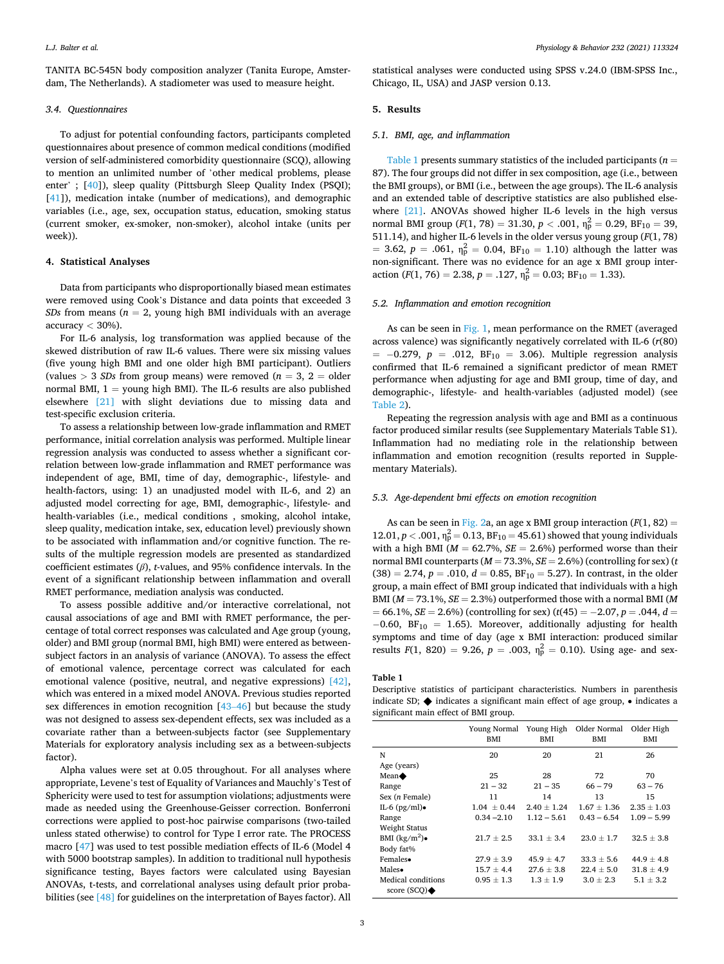<span id="page-3-0"></span>TANITA BC-545N body composition analyzer (Tanita Europe, Amsterdam, The Netherlands). A stadiometer was used to measure height.

#### *3.4. Questionnaires*

To adjust for potential confounding factors, participants completed questionnaires about presence of common medical conditions (modified version of self-administered comorbidity questionnaire (SCQ), allowing to mention an unlimited number of 'other medical problems, please enter' ; [[40\]](#page-6-0)), sleep quality (Pittsburgh Sleep Quality Index (PSQI); [[41\]](#page-6-0)), medication intake (number of medications), and demographic variables (i.e., age, sex, occupation status, education, smoking status (current smoker, ex-smoker, non-smoker), alcohol intake (units per week)).

#### **4. Statistical Analyses**

Data from participants who disproportionally biased mean estimates were removed using Cook's Distance and data points that exceeded 3 *SDs* from means ( $n = 2$ , young high BMI individuals with an average accuracy *<* 30%).

For IL-6 analysis, log transformation was applied because of the skewed distribution of raw IL-6 values. There were six missing values (five young high BMI and one older high BMI participant). Outliers (values  $> 3$  *SDs* from group means) were removed ( $n = 3$ , 2 = older normal BMI,  $1 =$  young high BMI). The IL-6 results are also published elsewhere [\[21\]](#page-6-0) with slight deviations due to missing data and test-specific exclusion criteria.

To assess a relationship between low-grade inflammation and RMET performance, initial correlation analysis was performed. Multiple linear regression analysis was conducted to assess whether a significant correlation between low-grade inflammation and RMET performance was independent of age, BMI, time of day, demographic-, lifestyle- and health-factors, using: 1) an unadjusted model with IL-6, and 2) an adjusted model correcting for age, BMI, demographic-, lifestyle- and health-variables (i.e., medical conditions , smoking, alcohol intake, sleep quality, medication intake, sex, education level) previously shown to be associated with inflammation and/or cognitive function. The results of the multiple regression models are presented as standardized coefficient estimates (*β*), *t*-values, and 95% confidence intervals. In the event of a significant relationship between inflammation and overall RMET performance, mediation analysis was conducted.

To assess possible additive and/or interactive correlational, not causal associations of age and BMI with RMET performance, the percentage of total correct responses was calculated and Age group (young, older) and BMI group (normal BMI, high BMI) were entered as betweensubject factors in an analysis of variance (ANOVA). To assess the effect of emotional valence, percentage correct was calculated for each emotional valence (positive, neutral, and negative expressions) [\[42\]](#page-6-0), which was entered in a mixed model ANOVA. Previous studies reported sex differences in emotion recognition [43–[46\]](#page-6-0) but because the study was not designed to assess sex-dependent effects, sex was included as a covariate rather than a between-subjects factor (see Supplementary Materials for exploratory analysis including sex as a between-subjects factor).

Alpha values were set at 0.05 throughout. For all analyses where appropriate, Levene's test of Equality of Variances and Mauchly's Test of Sphericity were used to test for assumption violations; adjustments were made as needed using the Greenhouse-Geisser correction. Bonferroni corrections were applied to post-hoc pairwise comparisons (two-tailed unless stated otherwise) to control for Type I error rate. The PROCESS macro [\[47](#page-6-0)] was used to test possible mediation effects of IL-6 (Model 4 with 5000 bootstrap samples). In addition to traditional null hypothesis significance testing, Bayes factors were calculated using Bayesian ANOVAs, t-tests, and correlational analyses using default prior probabilities (see [\[48\]](#page-6-0) for guidelines on the interpretation of Bayes factor). All

statistical analyses were conducted using SPSS v.24.0 (IBM-SPSS Inc., Chicago, IL, USA) and JASP version 0.13.

#### **5. Results**

#### *5.1. BMI, age, and inflammation*

Table 1 presents summary statistics of the included participants (*n* = 87). The four groups did not differ in sex composition, age (i.e., between the BMI groups), or BMI (i.e., between the age groups). The IL-6 analysis and an extended table of descriptive statistics are also published else-where [\[21\]](#page-6-0). ANOVAs showed higher IL-6 levels in the high versus normal BMI group  $(F(1, 78) = 31.30, p < .001, \eta_p^2 = 0.29, BF_{10} = 39,$ 511.14), and higher IL-6 levels in the older versus young group (*F*(1, 78)  $= 3.62, p = .061, \eta_p^2 = 0.04, BF_{10} = 1.10$ ) although the latter was non-significant. There was no evidence for an age x BMI group interaction (*F*(1, 76) = 2.38, *p* = .127,  $\eta_p^2 = 0.03$ ; BF<sub>10</sub> = 1.33).

#### *5.2. Inflammation and emotion recognition*

As can be seen in [Fig. 1](#page-4-0), mean performance on the RMET (averaged across valence) was significantly negatively correlated with IL-6 (*r*(80) = − 0.279, *p* = .012, BF10 = 3.06). Multiple regression analysis confirmed that IL-6 remained a significant predictor of mean RMET performance when adjusting for age and BMI group, time of day, and demographic-, lifestyle- and health-variables (adjusted model) (see [Table 2](#page-4-0)).

Repeating the regression analysis with age and BMI as a continuous factor produced similar results (see Supplementary Materials Table S1). Inflammation had no mediating role in the relationship between inflammation and emotion recognition (results reported in Supplementary Materials).

#### *5.3. Age-dependent bmi effects on emotion recognition*

As can be seen in [Fig. 2a](#page-5-0), an age x BMI group interaction  $(F(1, 82) =$ 12.01,  $p < .001$ ,  $\eta_p^2 = 0.13$ ,  $BF_{10} = 45.61$ ) showed that young individuals with a high BMI ( $M = 62.7\%$ ,  $SE = 2.6\%$ ) performed worse than their normal BMI counterparts (*M* = 73.3%, *SE* = 2.6%) (controlling for sex) (*t*   $(38) = 2.74, p = .010, d = 0.85, BF_{10} = 5.27$ . In contrast, in the older group, a main effect of BMI group indicated that individuals with a high BMI (*M* = 73.1%, *SE* = 2.3%) outperformed those with a normal BMI (*M*  = 66.1%, *SE* = 2.6%) (controlling for sex) (*t*(45) = − 2.07, *p* = .044, *d* =  $-0.60$ , BF<sub>10</sub> = 1.65). Moreover, additionally adjusting for health symptoms and time of day (age x BMI interaction: produced similar results  $F(1, 820) = 9.26$ ,  $p = .003$ ,  $\eta_p^2 = 0.10$ ). Using age- and sex-

#### **Table 1**

Descriptive statistics of participant characteristics. Numbers in parenthesis indicate SD; ◆ indicates a significant main effect of age group, • indicates a significant main effect of BMI group.

|                    | Young Normal Young High<br>BMI | BMI             | Older Normal<br>BMI | Older High<br>BMI |
|--------------------|--------------------------------|-----------------|---------------------|-------------------|
| N                  | 20                             | 20              | 21                  | 26                |
| Age (years)        |                                |                 |                     |                   |
| Mean $\triangle$   | 25                             | 28              | 72                  | 70                |
| Range              | $21 - 32$                      | $21 - 35$       | $66 - 79$           | $63 - 76$         |
| Sex (n Female)     | 11                             | 14              | 13                  | 15                |
| IL-6 $(pg/ml)$     | $1.04 \pm 0.44$                | $2.40 \pm 1.24$ | $1.67 \pm 1.36$     | $2.35 \pm 1.03$   |
| Range              | $0.34 - 2.10$                  | $1.12 - 5.61$   | $0.43 - 6.54$       | $1.09 - 5.99$     |
| Weight Status      |                                |                 |                     |                   |
| BMI $(kg/m^2)$     | $21.7 \pm 2.5$                 | $33.1 + 3.4$    | $23.0 + 1.7$        | $32.5 + 3.8$      |
| Body fat%          |                                |                 |                     |                   |
| Females.           | $27.9 \pm 3.9$                 | $45.9 \pm 4.7$  | $33.3 \pm 5.6$      | $44.9 \pm 4.8$    |
| Males•             | $15.7 \pm 4.4$                 | $27.6 + 3.8$    | $22.4 + 5.0$        | $31.8 \pm 4.9$    |
| Medical conditions | $0.95 + 1.3$                   | $1.3 + 1.9$     | $3.0 + 2.3$         | $5.1 + 3.2$       |
| score $(SCQ)$      |                                |                 |                     |                   |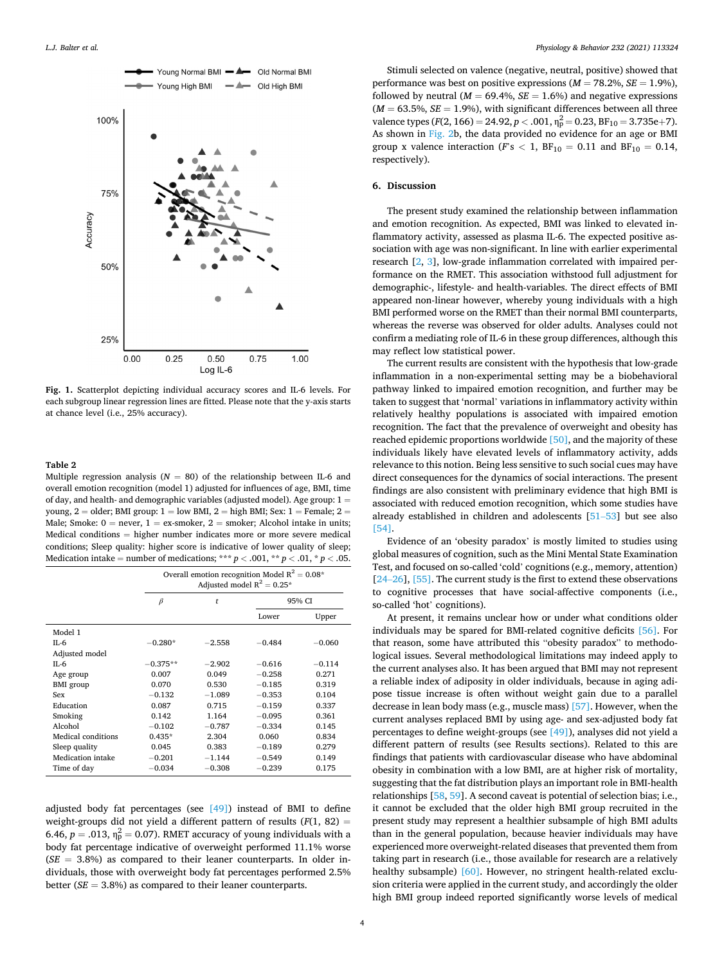<span id="page-4-0"></span>

**Fig. 1.** Scatterplot depicting individual accuracy scores and IL-6 levels. For each subgroup linear regression lines are fitted. Please note that the y-axis starts at chance level (i.e., 25% accuracy).

#### **Table 2**

Multiple regression analysis ( $N = 80$ ) of the relationship between IL-6 and overall emotion recognition (model 1) adjusted for influences of age, BMI, time of day, and health- and demographic variables (adjusted model). Age group: 1 = young,  $2 =$  older; BMI group:  $1 =$  low BMI,  $2 =$  high BMI; Sex:  $1 =$  Female;  $2 =$ Male; Smoke:  $0 =$  never,  $1 =$  ex-smoker,  $2 =$  smoker; Alcohol intake in units; Medical conditions = higher number indicates more or more severe medical conditions; Sleep quality: higher score is indicative of lower quality of sleep; Medication intake = number of medications; \*\*\*  $p < .001$ , \*\*  $p < .01$ , \*  $p < .05$ .

|                          | Overall emotion recognition Model $R^2 = 0.08^*$<br>Adjusted model $R^2 = 0.25^*$ |          |          |          |  |
|--------------------------|-----------------------------------------------------------------------------------|----------|----------|----------|--|
|                          | $\beta$                                                                           | t        | 95% CI   |          |  |
|                          |                                                                                   |          | Lower    | Upper    |  |
| Model 1                  |                                                                                   |          |          |          |  |
| IL-6                     | $-0.280*$                                                                         | $-2.558$ | $-0.484$ | $-0.060$ |  |
| Adjusted model           |                                                                                   |          |          |          |  |
| $II - 6$                 | $-0.375**$                                                                        | $-2.902$ | $-0.616$ | $-0.114$ |  |
| Age group                | 0.007                                                                             | 0.049    | $-0.258$ | 0.271    |  |
| <b>BMI</b> group         | 0.070                                                                             | 0.530    | $-0.185$ | 0.319    |  |
| Sex                      | $-0.132$                                                                          | $-1.089$ | $-0.353$ | 0.104    |  |
| Education                | 0.087                                                                             | 0.715    | $-0.159$ | 0.337    |  |
| Smoking                  | 0.142                                                                             | 1.164    | $-0.095$ | 0.361    |  |
| Alcohol                  | $-0.102$                                                                          | $-0.787$ | $-0.334$ | 0.145    |  |
| Medical conditions       | $0.435*$                                                                          | 2.304    | 0.060    | 0.834    |  |
| Sleep quality            | 0.045                                                                             | 0.383    | $-0.189$ | 0.279    |  |
| <b>Medication</b> intake | $-0.201$                                                                          | $-1.144$ | $-0.549$ | 0.149    |  |
| Time of day              | $-0.034$                                                                          | $-0.308$ | $-0.239$ | 0.175    |  |

adjusted body fat percentages (see  $[49]$ ) instead of BMI to define weight-groups did not yield a different pattern of results  $(F(1, 82) =$ 6.46,  $p = .013$ ,  $\eta_p^2 = 0.07$ ). RMET accuracy of young individuals with a body fat percentage indicative of overweight performed 11.1% worse  $(SE = 3.8%)$  as compared to their leaner counterparts. In older individuals, those with overweight body fat percentages performed 2.5% better (*SE* = 3.8%) as compared to their leaner counterparts.

Stimuli selected on valence (negative, neutral, positive) showed that performance was best on positive expressions  $(M = 78.2\%, SE = 1.9\%),$ followed by neutral ( $M = 69.4\%$ ,  $SE = 1.6\%$ ) and negative expressions  $(M = 63.5\%, SE = 1.9\%)$ , with significant differences between all three valence types ( $F(2, 166) = 24.92$ ,  $p < .001$ ,  $\eta_p^2 = 0.23$ ,  $BF_{10} = 3.735e+7$ ). As shown in [Fig. 2](#page-5-0)b, the data provided no evidence for an age or BMI group x valence interaction ( $F$ 's  $< 1$ ,  $BF_{10} = 0.11$  and  $BF_{10} = 0.14$ , respectively).

#### **6. Discussion**

The present study examined the relationship between inflammation and emotion recognition. As expected, BMI was linked to elevated inflammatory activity, assessed as plasma IL-6. The expected positive association with age was non-significant. In line with earlier experimental research [\[2,](#page-5-0) [3](#page-5-0)], low-grade inflammation correlated with impaired performance on the RMET. This association withstood full adjustment for demographic-, lifestyle- and health-variables. The direct effects of BMI appeared non-linear however, whereby young individuals with a high BMI performed worse on the RMET than their normal BMI counterparts, whereas the reverse was observed for older adults. Analyses could not confirm a mediating role of IL-6 in these group differences, although this may reflect low statistical power.

The current results are consistent with the hypothesis that low-grade inflammation in a non-experimental setting may be a biobehavioral pathway linked to impaired emotion recognition, and further may be taken to suggest that 'normal' variations in inflammatory activity within relatively healthy populations is associated with impaired emotion recognition. The fact that the prevalence of overweight and obesity has reached epidemic proportions worldwide [\[50\],](#page-6-0) and the majority of these individuals likely have elevated levels of inflammatory activity, adds relevance to this notion. Being less sensitive to such social cues may have direct consequences for the dynamics of social interactions. The present findings are also consistent with preliminary evidence that high BMI is associated with reduced emotion recognition, which some studies have already established in children and adolescents [\[51](#page-6-0)–53] but see also [\[54\]](#page-6-0).

Evidence of an 'obesity paradox' is mostly limited to studies using global measures of cognition, such as the Mini Mental State Examination Test, and focused on so-called 'cold' cognitions (e.g., memory, attention)  $[24–26]$  $[24–26]$ ,  $[55]$ . The current study is the first to extend these observations to cognitive processes that have social-affective components (i.e., so-called 'hot' cognitions).

At present, it remains unclear how or under what conditions older individuals may be spared for BMI-related cognitive deficits [\[56\].](#page-6-0) For that reason, some have attributed this "obesity paradox" to methodological issues. Several methodological limitations may indeed apply to the current analyses also. It has been argued that BMI may not represent a reliable index of adiposity in older individuals, because in aging adipose tissue increase is often without weight gain due to a parallel decrease in lean body mass (e.g., muscle mass) [\[57\].](#page-6-0) However, when the current analyses replaced BMI by using age- and sex-adjusted body fat percentages to define weight-groups (see [\[49\]\)](#page-6-0), analyses did not yield a different pattern of results (see Results sections). Related to this are findings that patients with cardiovascular disease who have abdominal obesity in combination with a low BMI, are at higher risk of mortality, suggesting that the fat distribution plays an important role in BMI-health relationships [\[58, 59](#page-6-0)]. A second caveat is potential of selection bias; i.e., it cannot be excluded that the older high BMI group recruited in the present study may represent a healthier subsample of high BMI adults than in the general population, because heavier individuals may have experienced more overweight-related diseases that prevented them from taking part in research (i.e., those available for research are a relatively healthy subsample) [\[60\].](#page-6-0) However, no stringent health-related exclusion criteria were applied in the current study, and accordingly the older high BMI group indeed reported significantly worse levels of medical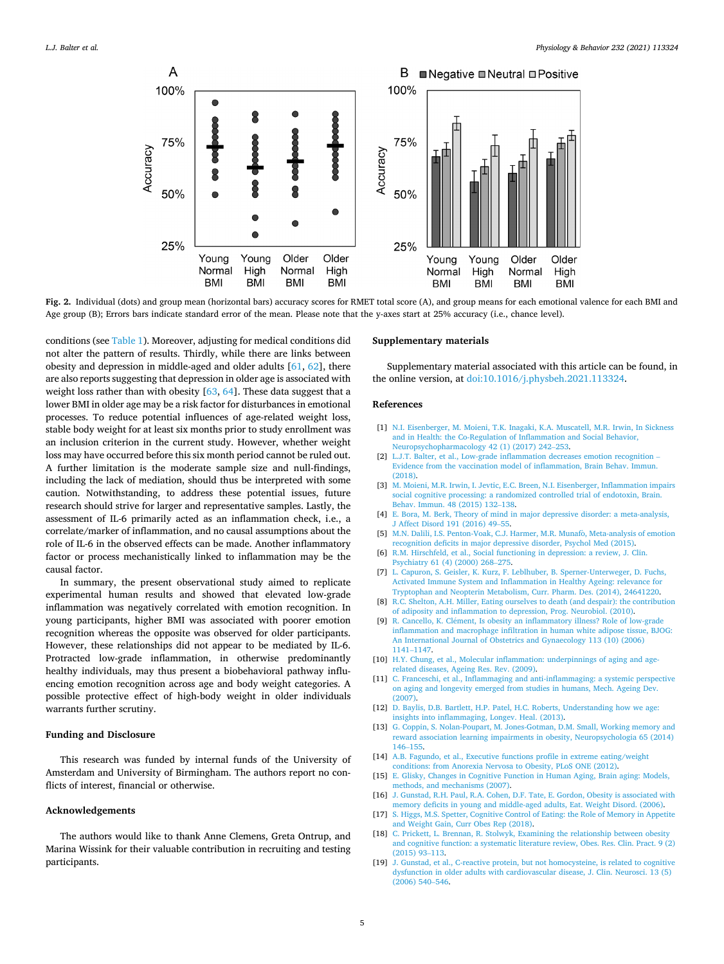<span id="page-5-0"></span>

**Fig. 2.** Individual (dots) and group mean (horizontal bars) accuracy scores for RMET total score (A), and group means for each emotional valence for each BMI and Age group (B); Errors bars indicate standard error of the mean. Please note that the y-axes start at 25% accuracy (i.e., chance level).

conditions (see [Table 1\)](#page-3-0). Moreover, adjusting for medical conditions did not alter the pattern of results. Thirdly, while there are links between obesity and depression in middle-aged and older adults [[61, 62](#page-6-0)], there are also reports suggesting that depression in older age is associated with weight loss rather than with obesity  $[63, 64]$  $[63, 64]$  $[63, 64]$ . These data suggest that a lower BMI in older age may be a risk factor for disturbances in emotional processes. To reduce potential influences of age-related weight loss, stable body weight for at least six months prior to study enrollment was an inclusion criterion in the current study. However, whether weight loss may have occurred before this six month period cannot be ruled out. A further limitation is the moderate sample size and null-findings, including the lack of mediation, should thus be interpreted with some caution. Notwithstanding, to address these potential issues, future research should strive for larger and representative samples. Lastly, the assessment of IL-6 primarily acted as an inflammation check, i.e., a correlate/marker of inflammation, and no causal assumptions about the role of IL-6 in the observed effects can be made. Another inflammatory factor or process mechanistically linked to inflammation may be the causal factor.

In summary, the present observational study aimed to replicate experimental human results and showed that elevated low-grade inflammation was negatively correlated with emotion recognition. In young participants, higher BMI was associated with poorer emotion recognition whereas the opposite was observed for older participants. However, these relationships did not appear to be mediated by IL-6. Protracted low-grade inflammation, in otherwise predominantly healthy individuals, may thus present a biobehavioral pathway influencing emotion recognition across age and body weight categories. A possible protective effect of high-body weight in older individuals warrants further scrutiny.

#### **Funding and Disclosure**

This research was funded by internal funds of the University of Amsterdam and University of Birmingham. The authors report no conflicts of interest, financial or otherwise.

#### **Acknowledgements**

The authors would like to thank Anne Clemens, Greta Ontrup, and Marina Wissink for their valuable contribution in recruiting and testing participants.

#### **Supplementary materials**

Supplementary material associated with this article can be found, in the online version, at [doi:10.1016/j.physbeh.2021.113324.](https://doi.org/10.1016/j.physbeh.2021.113324)

#### **References**

- [1] [N.I. Eisenberger, M. Moieni, T.K. Inagaki, K.A. Muscatell, M.R. Irwin, In Sickness](http://refhub.elsevier.com/S0031-9384(21)00016-0/sbref0001)  [and in Health: the Co-Regulation of Inflammation and Social Behavior,](http://refhub.elsevier.com/S0031-9384(21)00016-0/sbref0001)  [Neuropsychopharmacology 42 \(1\) \(2017\) 242](http://refhub.elsevier.com/S0031-9384(21)00016-0/sbref0001)–253.
- [2] [L.J.T. Balter, et al., Low-grade inflammation decreases emotion recognition](http://refhub.elsevier.com/S0031-9384(21)00016-0/sbref0002)  [Evidence from the vaccination model of inflammation, Brain Behav. Immun.](http://refhub.elsevier.com/S0031-9384(21)00016-0/sbref0002)  [\(2018\)](http://refhub.elsevier.com/S0031-9384(21)00016-0/sbref0002).
- [3] [M. Moieni, M.R. Irwin, I. Jevtic, E.C. Breen, N.I. Eisenberger, Inflammation impairs](http://refhub.elsevier.com/S0031-9384(21)00016-0/sbref0003)  [social cognitive processing: a randomized controlled trial of endotoxin, Brain.](http://refhub.elsevier.com/S0031-9384(21)00016-0/sbref0003) [Behav. Immun. 48 \(2015\) 132](http://refhub.elsevier.com/S0031-9384(21)00016-0/sbref0003)–138.
- [4] [E. Bora, M. Berk, Theory of mind in major depressive disorder: a meta-analysis,](http://refhub.elsevier.com/S0031-9384(21)00016-0/sbref0004)  [J Affect Disord 191 \(2016\) 49](http://refhub.elsevier.com/S0031-9384(21)00016-0/sbref0004)–55.
- [5] M.N. Dalili, I.S. Penton-Voak, C.J. Harmer, M.R. Munafò, Meta-analysis of emotion [recognition deficits in major depressive disorder, Psychol Med \(2015\).](http://refhub.elsevier.com/S0031-9384(21)00016-0/sbref0005)
- [6] [R.M. Hirschfeld, et al., Social functioning in depression: a review, J. Clin.](http://refhub.elsevier.com/S0031-9384(21)00016-0/sbref0006) [Psychiatry 61 \(4\) \(2000\) 268](http://refhub.elsevier.com/S0031-9384(21)00016-0/sbref0006)–275.
- [7] [L. Capuron, S. Geisler, K. Kurz, F. Leblhuber, B. Sperner-Unterweger, D. Fuchs,](http://refhub.elsevier.com/S0031-9384(21)00016-0/sbref0007) [Activated Immune System and Inflammation in Healthy Ageing: relevance for](http://refhub.elsevier.com/S0031-9384(21)00016-0/sbref0007) [Tryptophan and Neopterin Metabolism, Curr. Pharm. Des. \(2014\), 24641220](http://refhub.elsevier.com/S0031-9384(21)00016-0/sbref0007).
- [8] [R.C. Shelton, A.H. Miller, Eating ourselves to death \(and despair\): the contribution](http://refhub.elsevier.com/S0031-9384(21)00016-0/sbref0008)  [of adiposity and inflammation to depression, Prog. Neurobiol. \(2010\)](http://refhub.elsevier.com/S0031-9384(21)00016-0/sbref0008).
- [9] R. Cancello, K. Clément, Is obesity an inflammatory illness? Role of low-grade [inflammation and macrophage infiltration in human white adipose tissue, BJOG:](http://refhub.elsevier.com/S0031-9384(21)00016-0/sbref0009)  [An International Journal of Obstetrics and Gynaecology 113 \(10\) \(2006\)](http://refhub.elsevier.com/S0031-9384(21)00016-0/sbref0009) 1141–[1147.](http://refhub.elsevier.com/S0031-9384(21)00016-0/sbref0009)
- [10] [H.Y. Chung, et al., Molecular inflammation: underpinnings of aging and age](http://refhub.elsevier.com/S0031-9384(21)00016-0/sbref0010)[related diseases, Ageing Res. Rev. \(2009\).](http://refhub.elsevier.com/S0031-9384(21)00016-0/sbref0010)
- [11] [C. Franceschi, et al., Inflammaging and anti-inflammaging: a systemic perspective](http://refhub.elsevier.com/S0031-9384(21)00016-0/sbref0011)  [on aging and longevity emerged from studies in humans, Mech. Ageing Dev.](http://refhub.elsevier.com/S0031-9384(21)00016-0/sbref0011) [\(2007\)](http://refhub.elsevier.com/S0031-9384(21)00016-0/sbref0011).
- [12] D. Baylis, D.B. Bartlett, H.P. Patel, H.C. Roberts, Understanding how we age: [insights into inflammaging, Longev. Heal. \(2013\).](http://refhub.elsevier.com/S0031-9384(21)00016-0/sbref0012)
- [13] [G. Coppin, S. Nolan-Poupart, M. Jones-Gotman, D.M. Small, Working memory and](http://refhub.elsevier.com/S0031-9384(21)00016-0/sbref0013)  [reward association learning impairments in obesity, Neuropsychologia 65 \(2014\)](http://refhub.elsevier.com/S0031-9384(21)00016-0/sbref0013)  146–[155.](http://refhub.elsevier.com/S0031-9384(21)00016-0/sbref0013)
- [14] [A.B. Fagundo, et al., Executive functions profile in extreme eating/weight](http://refhub.elsevier.com/S0031-9384(21)00016-0/sbref0014) [conditions: from Anorexia Nervosa to Obesity, PLoS ONE \(2012\).](http://refhub.elsevier.com/S0031-9384(21)00016-0/sbref0014)
- [15] [E. Glisky, Changes in Cognitive Function in Human Aging, Brain aging: Models,](http://refhub.elsevier.com/S0031-9384(21)00016-0/sbref0015) [methods, and mechanisms \(2007\)](http://refhub.elsevier.com/S0031-9384(21)00016-0/sbref0015).
- [16] [J. Gunstad, R.H. Paul, R.A. Cohen, D.F. Tate, E. Gordon, Obesity is associated with](http://refhub.elsevier.com/S0031-9384(21)00016-0/sbref0016)  [memory deficits in young and middle-aged adults, Eat. Weight Disord. \(2006\).](http://refhub.elsevier.com/S0031-9384(21)00016-0/sbref0016)
- [17] [S. Higgs, M.S. Spetter, Cognitive Control of Eating: the Role of Memory in Appetite](http://refhub.elsevier.com/S0031-9384(21)00016-0/sbref0017)  [and Weight Gain, Curr Obes Rep \(2018\).](http://refhub.elsevier.com/S0031-9384(21)00016-0/sbref0017) [18] [C. Prickett, L. Brennan, R. Stolwyk, Examining the relationship between obesity](http://refhub.elsevier.com/S0031-9384(21)00016-0/sbref0018)
- [and cognitive function: a systematic literature review, Obes. Res. Clin. Pract. 9 \(2\)](http://refhub.elsevier.com/S0031-9384(21)00016-0/sbref0018)  [\(2015\) 93](http://refhub.elsevier.com/S0031-9384(21)00016-0/sbref0018)–113.
- [19] [J. Gunstad, et al., C-reactive protein, but not homocysteine, is related to cognitive](http://refhub.elsevier.com/S0031-9384(21)00016-0/sbref0019)  [dysfunction in older adults with cardiovascular disease, J. Clin. Neurosci. 13 \(5\)](http://refhub.elsevier.com/S0031-9384(21)00016-0/sbref0019)  [\(2006\) 540](http://refhub.elsevier.com/S0031-9384(21)00016-0/sbref0019)–546.